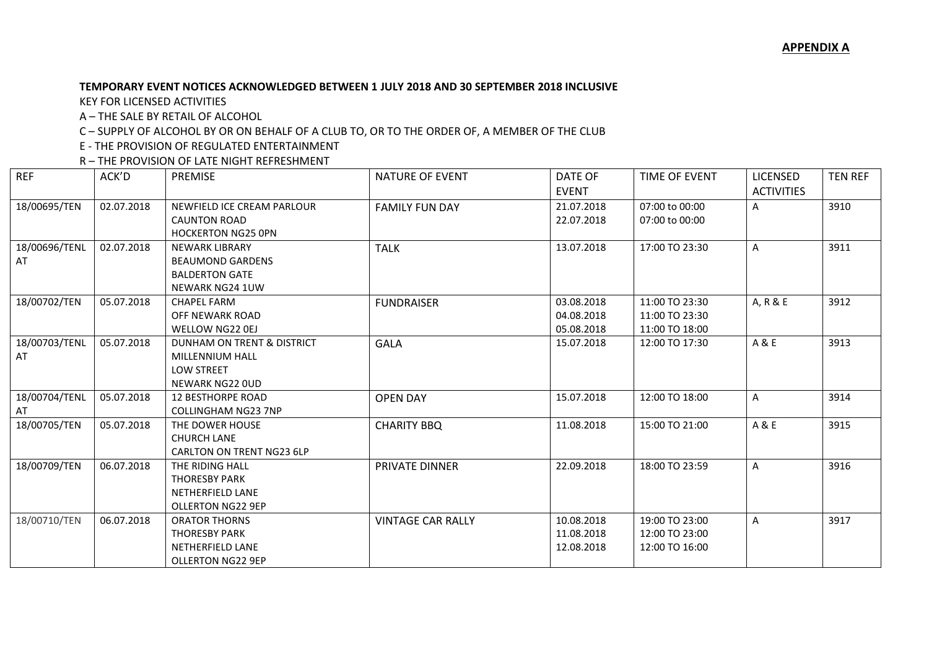## **TEMPORARY EVENT NOTICES ACKNOWLEDGED BETWEEN 1 JULY 2018 AND 30 SEPTEMBER 2018 INCLUSIVE**

KEY FOR LICENSED ACTIVITIES

A – THE SALE BY RETAIL OF ALCOHOL

C – SUPPLY OF ALCOHOL BY OR ON BEHALF OF A CLUB TO, OR TO THE ORDER OF, A MEMBER OF THE CLUB

E - THE PROVISION OF REGULATED ENTERTAINMENT

R – THE PROVISION OF LATE NIGHT REFRESHMENT

| <b>REF</b>    | ACK'D      | <b>PREMISE</b>                                  | <b>NATURE OF EVENT</b>   | DATE OF<br><b>EVENT</b> | TIME OF EVENT  | <b>LICENSED</b><br><b>ACTIVITIES</b> | <b>TEN REF</b> |
|---------------|------------|-------------------------------------------------|--------------------------|-------------------------|----------------|--------------------------------------|----------------|
|               |            | NEWFIELD ICE CREAM PARLOUR                      |                          |                         | 07:00 to 00:00 |                                      | 3910           |
| 18/00695/TEN  | 02.07.2018 | <b>CAUNTON ROAD</b>                             | <b>FAMILY FUN DAY</b>    | 21.07.2018              |                | A                                    |                |
|               |            | <b>HOCKERTON NG25 OPN</b>                       |                          | 22.07.2018              | 07:00 to 00:00 |                                      |                |
| 18/00696/TENL | 02.07.2018 | <b>NEWARK LIBRARY</b>                           |                          | 13.07.2018              |                |                                      | 3911           |
|               |            |                                                 | <b>TALK</b>              |                         | 17:00 TO 23:30 | A                                    |                |
| AT            |            | <b>BEAUMOND GARDENS</b>                         |                          |                         |                |                                      |                |
|               |            | <b>BALDERTON GATE</b><br><b>NEWARK NG24 1UW</b> |                          |                         |                |                                      |                |
| 18/00702/TEN  | 05.07.2018 | <b>CHAPEL FARM</b>                              | <b>FUNDRAISER</b>        | 03.08.2018              | 11:00 TO 23:30 | A, R & E                             | 3912           |
|               |            | OFF NEWARK ROAD                                 |                          | 04.08.2018              | 11:00 TO 23:30 |                                      |                |
|               |            | WELLOW NG22 0EJ                                 |                          | 05.08.2018              | 11:00 TO 18:00 |                                      |                |
|               | 05.07.2018 | DUNHAM ON TRENT & DISTRICT                      |                          |                         |                | A & E                                | 3913           |
| 18/00703/TENL |            |                                                 | <b>GALA</b>              | 15.07.2018              | 12:00 TO 17:30 |                                      |                |
| AT            |            | MILLENNIUM HALL<br><b>LOW STREET</b>            |                          |                         |                |                                      |                |
|               |            |                                                 |                          |                         |                |                                      |                |
|               |            | <b>NEWARK NG22 OUD</b>                          |                          |                         |                |                                      |                |
| 18/00704/TENL | 05.07.2018 | <b>12 BESTHORPE ROAD</b>                        | <b>OPEN DAY</b>          | 15.07.2018              | 12:00 TO 18:00 | A                                    | 3914           |
| AT            |            | <b>COLLINGHAM NG23 7NP</b>                      |                          |                         |                |                                      |                |
| 18/00705/TEN  | 05.07.2018 | THE DOWER HOUSE                                 | <b>CHARITY BBQ</b>       | 11.08.2018              | 15:00 TO 21:00 | A & E                                | 3915           |
|               |            | <b>CHURCH LANE</b>                              |                          |                         |                |                                      |                |
|               |            | CARLTON ON TRENT NG23 6LP                       |                          |                         |                |                                      |                |
| 18/00709/TEN  | 06.07.2018 | THE RIDING HALL                                 | <b>PRIVATE DINNER</b>    | 22.09.2018              | 18:00 TO 23:59 | A                                    | 3916           |
|               |            | <b>THORESBY PARK</b>                            |                          |                         |                |                                      |                |
|               |            | <b>NETHERFIELD LANE</b>                         |                          |                         |                |                                      |                |
|               |            | <b>OLLERTON NG22 9EP</b>                        |                          |                         |                |                                      |                |
| 18/00710/TEN  | 06.07.2018 | <b>ORATOR THORNS</b>                            | <b>VINTAGE CAR RALLY</b> | 10.08.2018              | 19:00 TO 23:00 | A                                    | 3917           |
|               |            | <b>THORESBY PARK</b>                            |                          | 11.08.2018              | 12:00 TO 23:00 |                                      |                |
|               |            | <b>NETHERFIELD LANE</b>                         |                          | 12.08.2018              | 12:00 TO 16:00 |                                      |                |
|               |            | <b>OLLERTON NG22 9EP</b>                        |                          |                         |                |                                      |                |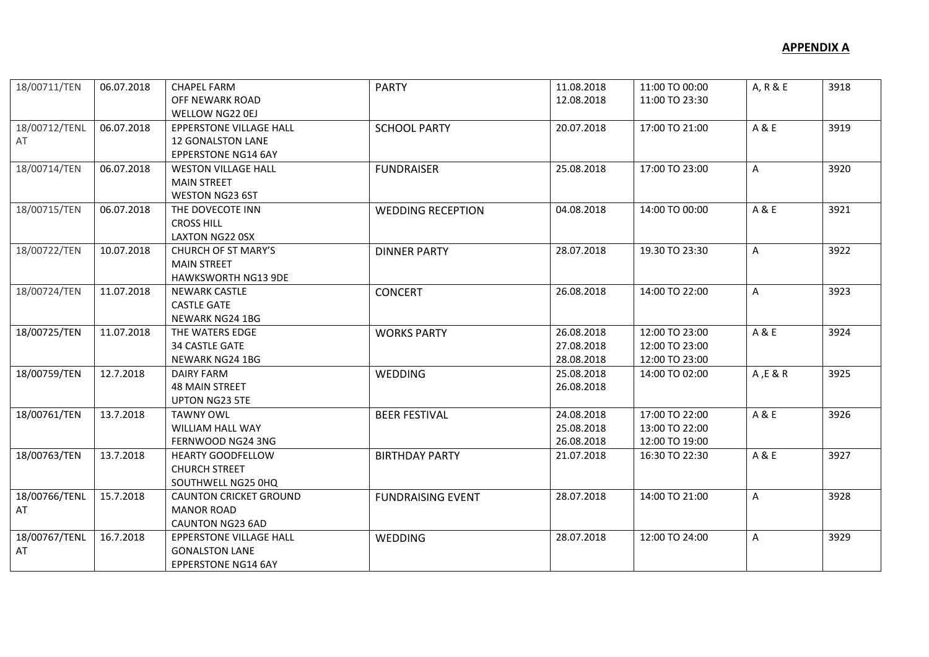| 18/00711/TEN  | 06.07.2018 | <b>CHAPEL FARM</b>             | <b>PARTY</b>             | 11.08.2018 | 11:00 TO 00:00 | A, R & E | 3918 |
|---------------|------------|--------------------------------|--------------------------|------------|----------------|----------|------|
|               |            | OFF NEWARK ROAD                |                          | 12.08.2018 | 11:00 TO 23:30 |          |      |
|               |            | WELLOW NG22 0EJ                |                          |            |                |          |      |
| 18/00712/TENL | 06.07.2018 | <b>EPPERSTONE VILLAGE HALL</b> | <b>SCHOOL PARTY</b>      | 20.07.2018 | 17:00 TO 21:00 | A & E    | 3919 |
| AT            |            | <b>12 GONALSTON LANE</b>       |                          |            |                |          |      |
|               |            | <b>EPPERSTONE NG14 6AY</b>     |                          |            |                |          |      |
| 18/00714/TEN  | 06.07.2018 | <b>WESTON VILLAGE HALL</b>     | <b>FUNDRAISER</b>        | 25.08.2018 | 17:00 TO 23:00 | A        | 3920 |
|               |            | <b>MAIN STREET</b>             |                          |            |                |          |      |
|               |            | <b>WESTON NG23 6ST</b>         |                          |            |                |          |      |
| 18/00715/TEN  | 06.07.2018 | THE DOVECOTE INN               | <b>WEDDING RECEPTION</b> | 04.08.2018 | 14:00 TO 00:00 | A & E    | 3921 |
|               |            | <b>CROSS HILL</b>              |                          |            |                |          |      |
|               |            | LAXTON NG22 0SX                |                          |            |                |          |      |
| 18/00722/TEN  | 10.07.2018 | CHURCH OF ST MARY'S            | <b>DINNER PARTY</b>      | 28.07.2018 | 19.30 TO 23:30 | A        | 3922 |
|               |            | <b>MAIN STREET</b>             |                          |            |                |          |      |
|               |            | <b>HAWKSWORTH NG13 9DE</b>     |                          |            |                |          |      |
| 18/00724/TEN  | 11.07.2018 | <b>NEWARK CASTLE</b>           | <b>CONCERT</b>           | 26.08.2018 | 14:00 TO 22:00 | A        | 3923 |
|               |            | <b>CASTLE GATE</b>             |                          |            |                |          |      |
|               |            | NEWARK NG24 1BG                |                          |            |                |          |      |
| 18/00725/TEN  | 11.07.2018 | THE WATERS EDGE                | <b>WORKS PARTY</b>       | 26.08.2018 | 12:00 TO 23:00 | A & E    | 3924 |
|               |            | <b>34 CASTLE GATE</b>          |                          | 27.08.2018 | 12:00 TO 23:00 |          |      |
|               |            | <b>NEWARK NG24 1BG</b>         |                          | 28.08.2018 | 12:00 TO 23:00 |          |      |
| 18/00759/TEN  | 12.7.2018  | <b>DAIRY FARM</b>              | WEDDING                  | 25.08.2018 | 14:00 TO 02:00 | A, E & R | 3925 |
|               |            | <b>48 MAIN STREET</b>          |                          | 26.08.2018 |                |          |      |
|               |            | <b>UPTON NG23 5TE</b>          |                          |            |                |          |      |
| 18/00761/TEN  | 13.7.2018  | <b>TAWNY OWL</b>               | <b>BEER FESTIVAL</b>     | 24.08.2018 | 17:00 TO 22:00 | A & E    | 3926 |
|               |            | <b>WILLIAM HALL WAY</b>        |                          | 25.08.2018 | 13:00 TO 22:00 |          |      |
|               |            | FERNWOOD NG24 3NG              |                          | 26.08.2018 | 12:00 TO 19:00 |          |      |
| 18/00763/TEN  | 13.7.2018  | <b>HEARTY GOODFELLOW</b>       | <b>BIRTHDAY PARTY</b>    | 21.07.2018 | 16:30 TO 22:30 | A & E    | 3927 |
|               |            | <b>CHURCH STREET</b>           |                          |            |                |          |      |
|               |            | SOUTHWELL NG25 0HQ             |                          |            |                |          |      |
| 18/00766/TENL | 15.7.2018  | <b>CAUNTON CRICKET GROUND</b>  | <b>FUNDRAISING EVENT</b> | 28.07.2018 | 14:00 TO 21:00 | A        | 3928 |
| AT            |            | <b>MANOR ROAD</b>              |                          |            |                |          |      |
|               |            | <b>CAUNTON NG23 6AD</b>        |                          |            |                |          |      |
| 18/00767/TENL | 16.7.2018  | <b>EPPERSTONE VILLAGE HALL</b> | WEDDING                  | 28.07.2018 | 12:00 TO 24:00 | A        | 3929 |
| AT            |            | <b>GONALSTON LANE</b>          |                          |            |                |          |      |
|               |            | <b>EPPERSTONE NG14 6AY</b>     |                          |            |                |          |      |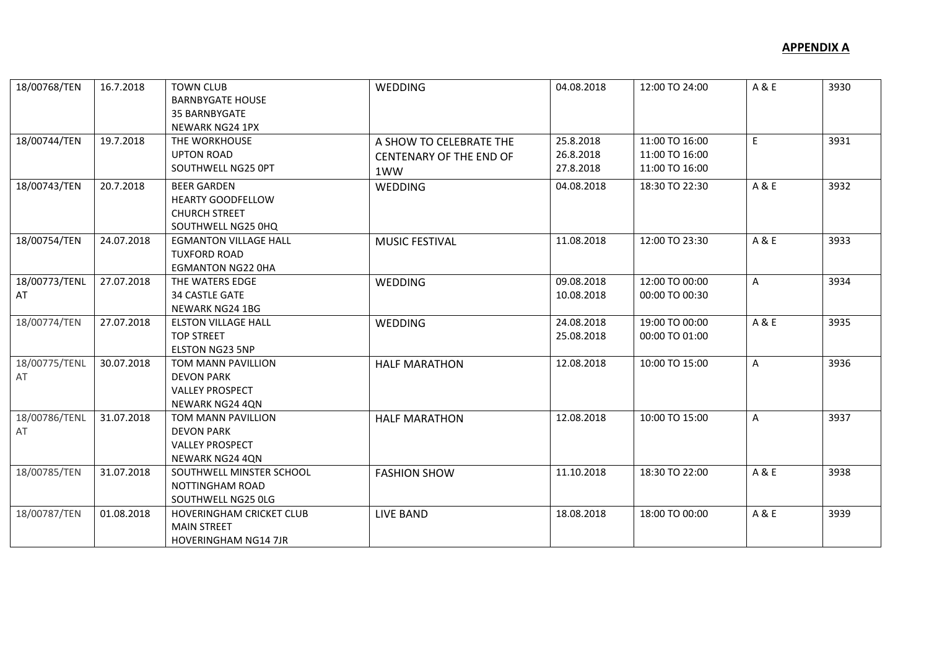| 18/00768/TEN        | 16.7.2018  | <b>TOWN CLUB</b><br><b>BARNBYGATE HOUSE</b><br><b>35 BARNBYGATE</b><br>NEWARK NG24 1PX       | WEDDING                                                          | 04.08.2018                          | 12:00 TO 24:00                                     | A & E        | 3930 |
|---------------------|------------|----------------------------------------------------------------------------------------------|------------------------------------------------------------------|-------------------------------------|----------------------------------------------------|--------------|------|
| 18/00744/TEN        | 19.7.2018  | THE WORKHOUSE<br><b>UPTON ROAD</b><br>SOUTHWELL NG25 OPT                                     | A SHOW TO CELEBRATE THE<br><b>CENTENARY OF THE END OF</b><br>1WW | 25.8.2018<br>26.8.2018<br>27.8.2018 | 11:00 TO 16:00<br>11:00 TO 16:00<br>11:00 TO 16:00 | E            | 3931 |
| 18/00743/TEN        | 20.7.2018  | <b>BEER GARDEN</b><br><b>HEARTY GOODFELLOW</b><br><b>CHURCH STREET</b><br>SOUTHWELL NG25 0HQ | <b>WEDDING</b>                                                   | 04.08.2018                          | 18:30 TO 22:30                                     | A & E        | 3932 |
| 18/00754/TEN        | 24.07.2018 | <b>EGMANTON VILLAGE HALL</b><br><b>TUXFORD ROAD</b><br><b>EGMANTON NG22 OHA</b>              | <b>MUSIC FESTIVAL</b>                                            | 11.08.2018                          | 12:00 TO 23:30                                     | A & E        | 3933 |
| 18/00773/TENL<br>AT | 27.07.2018 | THE WATERS EDGE<br><b>34 CASTLE GATE</b><br>NEWARK NG24 1BG                                  | <b>WEDDING</b>                                                   | 09.08.2018<br>10.08.2018            | 12:00 TO 00:00<br>00:00 TO 00:30                   | $\mathsf{A}$ | 3934 |
| 18/00774/TEN        | 27.07.2018 | <b>ELSTON VILLAGE HALL</b><br><b>TOP STREET</b><br><b>ELSTON NG23 5NP</b>                    | WEDDING                                                          | 24.08.2018<br>25.08.2018            | 19:00 TO 00:00<br>00:00 TO 01:00                   | A & E        | 3935 |
| 18/00775/TENL<br>AT | 30.07.2018 | TOM MANN PAVILLION<br><b>DEVON PARK</b><br><b>VALLEY PROSPECT</b><br>NEWARK NG24 4QN         | <b>HALF MARATHON</b>                                             | 12.08.2018                          | 10:00 TO 15:00                                     | A            | 3936 |
| 18/00786/TENL<br>AT | 31.07.2018 | TOM MANN PAVILLION<br><b>DEVON PARK</b><br><b>VALLEY PROSPECT</b><br><b>NEWARK NG24 4QN</b>  | <b>HALF MARATHON</b>                                             | 12.08.2018                          | 10:00 TO 15:00                                     | A            | 3937 |
| 18/00785/TEN        | 31.07.2018 | SOUTHWELL MINSTER SCHOOL<br>NOTTINGHAM ROAD<br>SOUTHWELL NG25 OLG                            | <b>FASHION SHOW</b>                                              | 11.10.2018                          | 18:30 TO 22:00                                     | A & E        | 3938 |
| 18/00787/TEN        | 01.08.2018 | HOVERINGHAM CRICKET CLUB<br><b>MAIN STREET</b><br><b>HOVERINGHAM NG14 7JR</b>                | <b>LIVE BAND</b>                                                 | 18.08.2018                          | 18:00 TO 00:00                                     | A & E        | 3939 |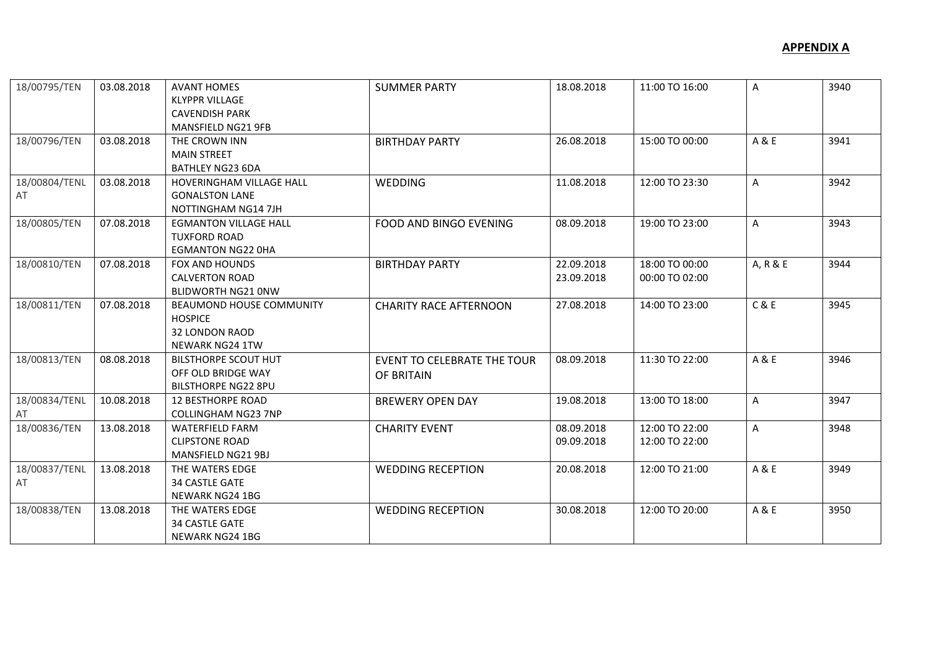| 18/00795/TEN  | 03.08.2018 | <b>AVANT HOMES</b>           | <b>SUMMER PARTY</b>                | 18.08.2018 | 11:00 TO 16:00 | A            | 3940 |
|---------------|------------|------------------------------|------------------------------------|------------|----------------|--------------|------|
|               |            | <b>KLYPPR VILLAGE</b>        |                                    |            |                |              |      |
|               |            | <b>CAVENDISH PARK</b>        |                                    |            |                |              |      |
|               |            | <b>MANSFIELD NG21 9FB</b>    |                                    |            |                |              |      |
| 18/00796/TEN  | 03.08.2018 | THE CROWN INN                | <b>BIRTHDAY PARTY</b>              | 26.08.2018 | 15:00 TO 00:00 | A & E        | 3941 |
|               |            | <b>MAIN STREET</b>           |                                    |            |                |              |      |
|               |            | <b>BATHLEY NG23 6DA</b>      |                                    |            |                |              |      |
| 18/00804/TENL | 03.08.2018 | HOVERINGHAM VILLAGE HALL     | <b>WEDDING</b>                     | 11.08.2018 | 12:00 TO 23:30 | $\mathsf{A}$ | 3942 |
| AT            |            | <b>GONALSTON LANE</b>        |                                    |            |                |              |      |
|               |            | NOTTINGHAM NG14 7JH          |                                    |            |                |              |      |
| 18/00805/TEN  | 07.08.2018 | <b>EGMANTON VILLAGE HALL</b> | FOOD AND BINGO EVENING             | 08.09.2018 | 19:00 TO 23:00 | $\mathsf{A}$ | 3943 |
|               |            | <b>TUXFORD ROAD</b>          |                                    |            |                |              |      |
|               |            | <b>EGMANTON NG22 OHA</b>     |                                    |            |                |              |      |
| 18/00810/TEN  | 07.08.2018 | FOX AND HOUNDS               | <b>BIRTHDAY PARTY</b>              | 22.09.2018 | 18:00 TO 00:00 | A, R & E     | 3944 |
|               |            | <b>CALVERTON ROAD</b>        |                                    | 23.09.2018 | 00:00 TO 02:00 |              |      |
|               |            | <b>BLIDWORTH NG21 ONW</b>    |                                    |            |                |              |      |
| 18/00811/TEN  | 07.08.2018 | BEAUMOND HOUSE COMMUNITY     | <b>CHARITY RACE AFTERNOON</b>      | 27.08.2018 | 14:00 TO 23:00 | C&E          | 3945 |
|               |            | <b>HOSPICE</b>               |                                    |            |                |              |      |
|               |            | <b>32 LONDON RAOD</b>        |                                    |            |                |              |      |
|               |            | <b>NEWARK NG24 1TW</b>       |                                    |            |                |              |      |
| 18/00813/TEN  | 08.08.2018 | <b>BILSTHORPE SCOUT HUT</b>  | <b>EVENT TO CELEBRATE THE TOUR</b> | 08.09.2018 | 11:30 TO 22:00 | A & E        | 3946 |
|               |            | OFF OLD BRIDGE WAY           | OF BRITAIN                         |            |                |              |      |
|               |            | <b>BILSTHORPE NG22 8PU</b>   |                                    |            |                |              |      |
| 18/00834/TENL | 10.08.2018 | <b>12 BESTHORPE ROAD</b>     | <b>BREWERY OPEN DAY</b>            | 19.08.2018 | 13:00 TO 18:00 | A            | 3947 |
| AT            |            | <b>COLLINGHAM NG23 7NP</b>   |                                    |            |                |              |      |
| 18/00836/TEN  | 13.08.2018 | WATERFIELD FARM              | <b>CHARITY EVENT</b>               | 08.09.2018 | 12:00 TO 22:00 | A            | 3948 |
|               |            | <b>CLIPSTONE ROAD</b>        |                                    | 09.09.2018 | 12:00 TO 22:00 |              |      |
|               |            | MANSFIELD NG21 9BJ           |                                    |            |                |              |      |
| 18/00837/TENL | 13.08.2018 | THE WATERS EDGE              | <b>WEDDING RECEPTION</b>           | 20.08.2018 | 12:00 TO 21:00 | A & E        | 3949 |
| AT            |            | <b>34 CASTLE GATE</b>        |                                    |            |                |              |      |
|               |            | <b>NEWARK NG24 1BG</b>       |                                    |            |                |              |      |
| 18/00838/TEN  | 13.08.2018 | THE WATERS EDGE              | <b>WEDDING RECEPTION</b>           | 30.08.2018 | 12:00 TO 20:00 | A & E        | 3950 |
|               |            | <b>34 CASTLE GATE</b>        |                                    |            |                |              |      |
|               |            | <b>NEWARK NG24 1BG</b>       |                                    |            |                |              |      |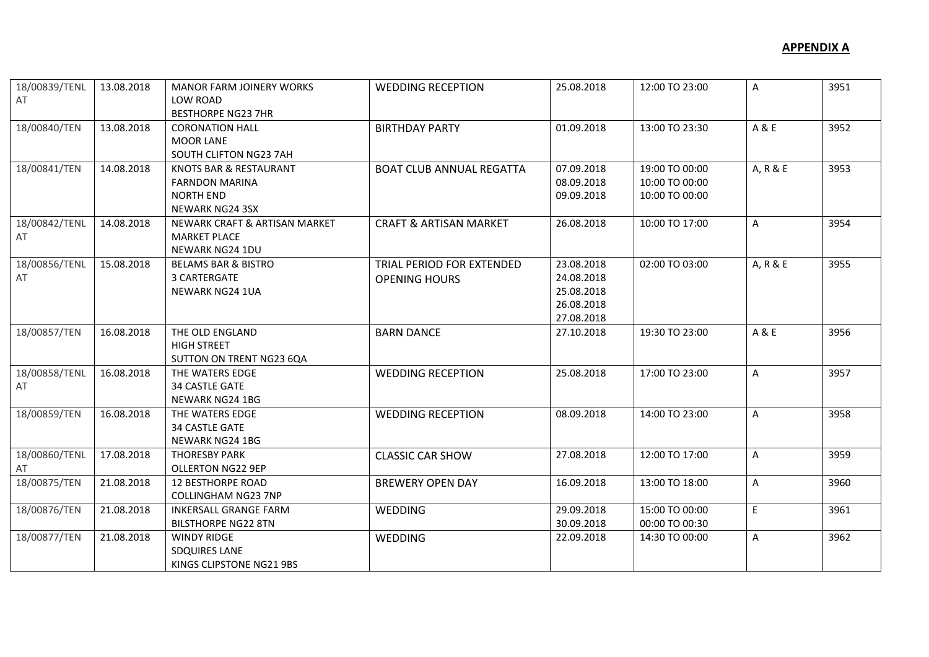| 18/00839/TENL | 13.08.2018 | <b>MANOR FARM JOINERY WORKS</b> | <b>WEDDING RECEPTION</b>          | 25.08.2018 | 12:00 TO 23:00 | $\mathsf{A}$ | 3951 |
|---------------|------------|---------------------------------|-----------------------------------|------------|----------------|--------------|------|
| AT            |            | LOW ROAD                        |                                   |            |                |              |      |
|               |            | <b>BESTHORPE NG23 7HR</b>       |                                   |            |                |              |      |
| 18/00840/TEN  | 13.08.2018 | <b>CORONATION HALL</b>          | <b>BIRTHDAY PARTY</b>             | 01.09.2018 | 13:00 TO 23:30 | A & E        | 3952 |
|               |            | <b>MOOR LANE</b>                |                                   |            |                |              |      |
|               |            | SOUTH CLIFTON NG23 7AH          |                                   |            |                |              |      |
| 18/00841/TEN  | 14.08.2018 | KNOTS BAR & RESTAURANT          | <b>BOAT CLUB ANNUAL REGATTA</b>   | 07.09.2018 | 19:00 TO 00:00 | A, R & E     | 3953 |
|               |            | <b>FARNDON MARINA</b>           |                                   | 08.09.2018 | 10:00 TO 00:00 |              |      |
|               |            | <b>NORTH END</b>                |                                   | 09.09.2018 | 10:00 TO 00:00 |              |      |
|               |            | <b>NEWARK NG24 3SX</b>          |                                   |            |                |              |      |
| 18/00842/TENL | 14.08.2018 | NEWARK CRAFT & ARTISAN MARKET   | <b>CRAFT &amp; ARTISAN MARKET</b> | 26.08.2018 | 10:00 TO 17:00 | $\mathsf{A}$ | 3954 |
| AT            |            | <b>MARKET PLACE</b>             |                                   |            |                |              |      |
|               |            | <b>NEWARK NG24 1DU</b>          |                                   |            |                |              |      |
| 18/00856/TENL | 15.08.2018 | <b>BELAMS BAR &amp; BISTRO</b>  | TRIAL PERIOD FOR EXTENDED         | 23.08.2018 | 02:00 TO 03:00 | A, R & E     | 3955 |
| AT            |            | 3 CARTERGATE                    | <b>OPENING HOURS</b>              | 24.08.2018 |                |              |      |
|               |            | <b>NEWARK NG24 1UA</b>          |                                   | 25.08.2018 |                |              |      |
|               |            |                                 |                                   | 26.08.2018 |                |              |      |
|               |            |                                 |                                   | 27.08.2018 |                |              |      |
| 18/00857/TEN  | 16.08.2018 | THE OLD ENGLAND                 | <b>BARN DANCE</b>                 | 27.10.2018 | 19:30 TO 23:00 | A & E        | 3956 |
|               |            | <b>HIGH STREET</b>              |                                   |            |                |              |      |
|               |            | SUTTON ON TRENT NG23 6QA        |                                   |            |                |              |      |
| 18/00858/TENL | 16.08.2018 | THE WATERS EDGE                 | <b>WEDDING RECEPTION</b>          | 25.08.2018 | 17:00 TO 23:00 | $\mathsf{A}$ | 3957 |
| AT            |            | <b>34 CASTLE GATE</b>           |                                   |            |                |              |      |
|               |            | NEWARK NG24 1BG                 |                                   |            |                |              |      |
| 18/00859/TEN  | 16.08.2018 | THE WATERS EDGE                 | <b>WEDDING RECEPTION</b>          | 08.09.2018 | 14:00 TO 23:00 | A            | 3958 |
|               |            | <b>34 CASTLE GATE</b>           |                                   |            |                |              |      |
|               |            | <b>NEWARK NG24 1BG</b>          |                                   |            |                |              |      |
| 18/00860/TENL | 17.08.2018 | <b>THORESBY PARK</b>            | <b>CLASSIC CAR SHOW</b>           | 27.08.2018 | 12:00 TO 17:00 | $\mathsf{A}$ | 3959 |
| AT            |            | <b>OLLERTON NG22 9EP</b>        |                                   |            |                |              |      |
| 18/00875/TEN  | 21.08.2018 | <b>12 BESTHORPE ROAD</b>        | <b>BREWERY OPEN DAY</b>           | 16.09.2018 | 13:00 TO 18:00 | A            | 3960 |
|               |            | <b>COLLINGHAM NG23 7NP</b>      |                                   |            |                |              |      |
| 18/00876/TEN  | 21.08.2018 | <b>INKERSALL GRANGE FARM</b>    | <b>WEDDING</b>                    | 29.09.2018 | 15:00 TO 00:00 | E            | 3961 |
|               |            | <b>BILSTHORPE NG22 8TN</b>      |                                   | 30.09.2018 | 00:00 TO 00:30 |              |      |
| 18/00877/TEN  | 21.08.2018 | <b>WINDY RIDGE</b>              | <b>WEDDING</b>                    | 22.09.2018 | 14:30 TO 00:00 | A            | 3962 |
|               |            | <b>SDQUIRES LANE</b>            |                                   |            |                |              |      |
|               |            | KINGS CLIPSTONE NG21 9BS        |                                   |            |                |              |      |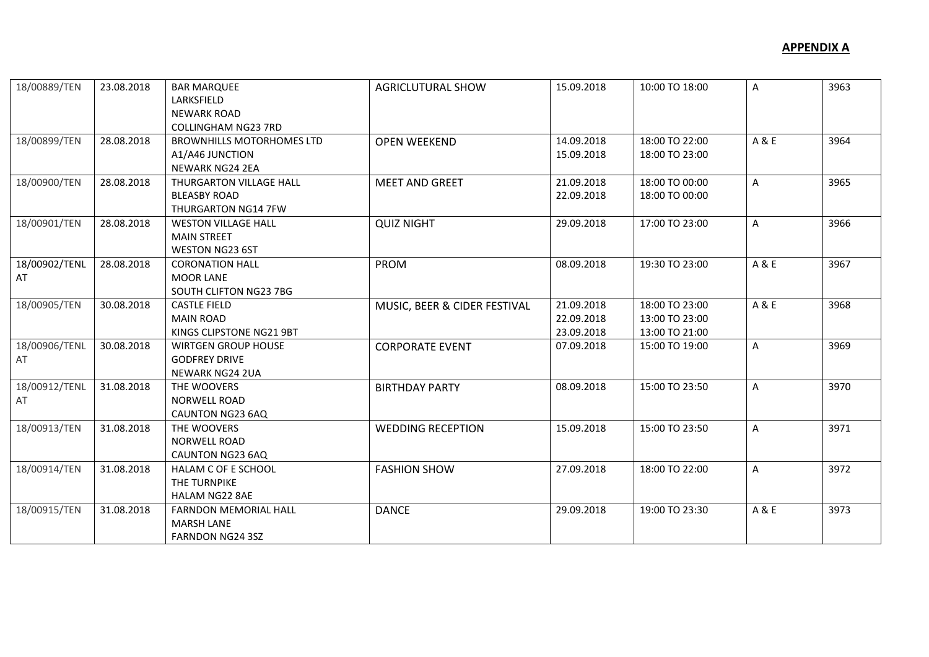| 18/00889/TEN  | 23.08.2018 | <b>BAR MARQUEE</b>               | <b>AGRICLUTURAL SHOW</b>     | 15.09.2018 | 10:00 TO 18:00 | A            | 3963 |
|---------------|------------|----------------------------------|------------------------------|------------|----------------|--------------|------|
|               |            | LARKSFIELD                       |                              |            |                |              |      |
|               |            | <b>NEWARK ROAD</b>               |                              |            |                |              |      |
|               |            | <b>COLLINGHAM NG23 7RD</b>       |                              |            |                |              |      |
| 18/00899/TEN  | 28.08.2018 | <b>BROWNHILLS MOTORHOMES LTD</b> | <b>OPEN WEEKEND</b>          | 14.09.2018 | 18:00 TO 22:00 | A & E        | 3964 |
|               |            | A1/A46 JUNCTION                  |                              | 15.09.2018 | 18:00 TO 23:00 |              |      |
|               |            | <b>NEWARK NG24 2EA</b>           |                              |            |                |              |      |
| 18/00900/TEN  | 28.08.2018 | THURGARTON VILLAGE HALL          | <b>MEET AND GREET</b>        | 21.09.2018 | 18:00 TO 00:00 | $\mathsf{A}$ | 3965 |
|               |            | <b>BLEASBY ROAD</b>              |                              | 22.09.2018 | 18:00 TO 00:00 |              |      |
|               |            | <b>THURGARTON NG14 7FW</b>       |                              |            |                |              |      |
| 18/00901/TEN  | 28.08.2018 | <b>WESTON VILLAGE HALL</b>       | <b>QUIZ NIGHT</b>            | 29.09.2018 | 17:00 TO 23:00 | $\mathsf{A}$ | 3966 |
|               |            | <b>MAIN STREET</b>               |                              |            |                |              |      |
|               |            | WESTON NG23 6ST                  |                              |            |                |              |      |
| 18/00902/TENL | 28.08.2018 | <b>CORONATION HALL</b>           | PROM                         | 08.09.2018 | 19:30 TO 23:00 | A & E        | 3967 |
| AT            |            | <b>MOOR LANE</b>                 |                              |            |                |              |      |
|               |            | SOUTH CLIFTON NG23 7BG           |                              |            |                |              |      |
| 18/00905/TEN  | 30.08.2018 | <b>CASTLE FIELD</b>              | MUSIC, BEER & CIDER FESTIVAL | 21.09.2018 | 18:00 TO 23:00 | A & E        | 3968 |
|               |            | <b>MAIN ROAD</b>                 |                              | 22.09.2018 | 13:00 TO 23:00 |              |      |
|               |            | KINGS CLIPSTONE NG21 9BT         |                              | 23.09.2018 | 13:00 TO 21:00 |              |      |
| 18/00906/TENL | 30.08.2018 | <b>WIRTGEN GROUP HOUSE</b>       | <b>CORPORATE EVENT</b>       | 07.09.2018 | 15:00 TO 19:00 | Α            | 3969 |
| AT            |            | <b>GODFREY DRIVE</b>             |                              |            |                |              |      |
|               |            | <b>NEWARK NG24 2UA</b>           |                              |            |                |              |      |
| 18/00912/TENL | 31.08.2018 | THE WOOVERS                      | <b>BIRTHDAY PARTY</b>        | 08.09.2018 | 15:00 TO 23:50 | $\mathsf{A}$ | 3970 |
| AT            |            | <b>NORWELL ROAD</b>              |                              |            |                |              |      |
|               |            | CAUNTON NG23 6AQ                 |                              |            |                |              |      |
| 18/00913/TEN  | 31.08.2018 | THE WOOVERS                      | <b>WEDDING RECEPTION</b>     | 15.09.2018 | 15:00 TO 23:50 | $\mathsf{A}$ | 3971 |
|               |            | <b>NORWELL ROAD</b>              |                              |            |                |              |      |
|               |            | CAUNTON NG23 6AQ                 |                              |            |                |              |      |
| 18/00914/TEN  | 31.08.2018 | HALAM C OF E SCHOOL              | <b>FASHION SHOW</b>          | 27.09.2018 | 18:00 TO 22:00 | $\mathsf{A}$ | 3972 |
|               |            | THE TURNPIKE                     |                              |            |                |              |      |
|               |            | HALAM NG22 8AE                   |                              |            |                |              |      |
| 18/00915/TEN  | 31.08.2018 | <b>FARNDON MEMORIAL HALL</b>     | <b>DANCE</b>                 | 29.09.2018 | 19:00 TO 23:30 | A & E        | 3973 |
|               |            | <b>MARSH LANE</b>                |                              |            |                |              |      |
|               |            | FARNDON NG24 3SZ                 |                              |            |                |              |      |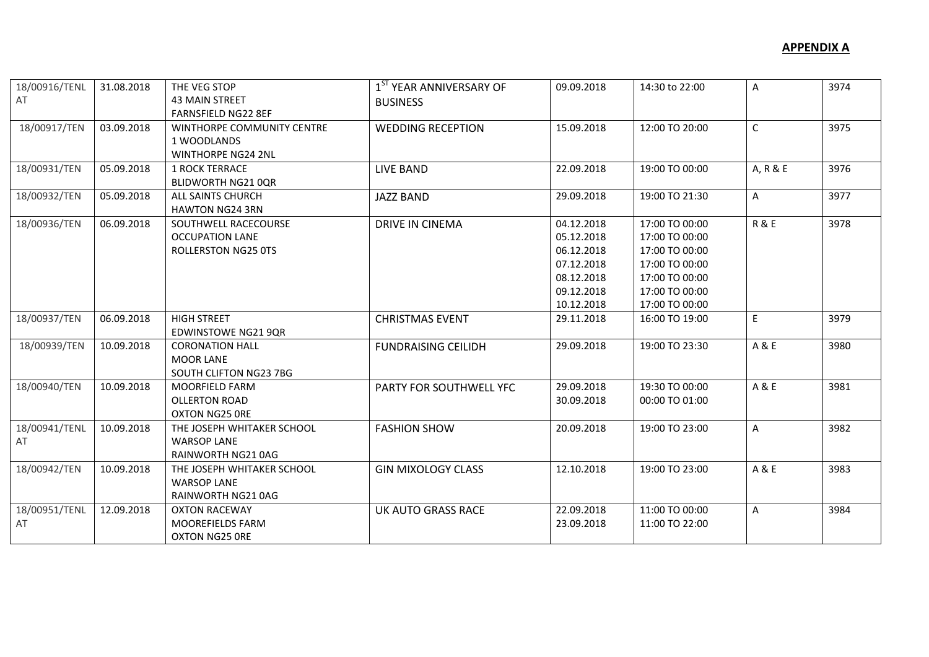| 18/00916/TENL<br>AT | 31.08.2018 | THE VEG STOP<br><b>43 MAIN STREET</b>                                        | 1 <sup>ST</sup> YEAR ANNIVERSARY OF<br><b>BUSINESS</b> | 09.09.2018                                                                                     | 14:30 to 22:00                                                                                                             | A              | 3974 |
|---------------------|------------|------------------------------------------------------------------------------|--------------------------------------------------------|------------------------------------------------------------------------------------------------|----------------------------------------------------------------------------------------------------------------------------|----------------|------|
| 18/00917/TEN        | 03.09.2018 | <b>FARNSFIELD NG22 8EF</b><br>WINTHORPE COMMUNITY CENTRE<br>1 WOODLANDS      | <b>WEDDING RECEPTION</b>                               | 15.09.2018                                                                                     | 12:00 TO 20:00                                                                                                             | $\mathsf{C}$   | 3975 |
| 18/00931/TEN        | 05.09.2018 | <b>WINTHORPE NG24 2NL</b><br><b>1 ROCK TERRACE</b><br>BLIDWORTH NG21 0QR     | LIVE BAND                                              | 22.09.2018                                                                                     | 19:00 TO 00:00                                                                                                             | A, R & E       | 3976 |
| 18/00932/TEN        | 05.09.2018 | ALL SAINTS CHURCH<br><b>HAWTON NG24 3RN</b>                                  | <b>JAZZ BAND</b>                                       | 29.09.2018                                                                                     | 19:00 TO 21:30                                                                                                             | $\mathsf{A}$   | 3977 |
| 18/00936/TEN        | 06.09.2018 | SOUTHWELL RACECOURSE<br><b>OCCUPATION LANE</b><br><b>ROLLERSTON NG25 0TS</b> | DRIVE IN CINEMA                                        | 04.12.2018<br>05.12.2018<br>06.12.2018<br>07.12.2018<br>08.12.2018<br>09.12.2018<br>10.12.2018 | 17:00 TO 00:00<br>17:00 TO 00:00<br>17:00 TO 00:00<br>17:00 TO 00:00<br>17:00 TO 00:00<br>17:00 TO 00:00<br>17:00 TO 00:00 | <b>R&amp;E</b> | 3978 |
| 18/00937/TEN        | 06.09.2018 | <b>HIGH STREET</b><br><b>EDWINSTOWE NG21 9QR</b>                             | <b>CHRISTMAS EVENT</b>                                 | 29.11.2018                                                                                     | 16:00 TO 19:00                                                                                                             | E              | 3979 |
| 18/00939/TEN        | 10.09.2018 | <b>CORONATION HALL</b><br><b>MOOR LANE</b><br>SOUTH CLIFTON NG23 7BG         | <b>FUNDRAISING CEILIDH</b>                             | 29.09.2018                                                                                     | 19:00 TO 23:30                                                                                                             | A & E          | 3980 |
| 18/00940/TEN        | 10.09.2018 | <b>MOORFIELD FARM</b><br>OLLERTON ROAD<br>OXTON NG25 ORE                     | PARTY FOR SOUTHWELL YFC                                | 29.09.2018<br>30.09.2018                                                                       | 19:30 TO 00:00<br>00:00 TO 01:00                                                                                           | A & E          | 3981 |
| 18/00941/TENL<br>AT | 10.09.2018 | THE JOSEPH WHITAKER SCHOOL<br><b>WARSOP LANE</b><br>RAINWORTH NG21 0AG       | <b>FASHION SHOW</b>                                    | 20.09.2018                                                                                     | 19:00 TO 23:00                                                                                                             | $\mathsf{A}$   | 3982 |
| 18/00942/TEN        | 10.09.2018 | THE JOSEPH WHITAKER SCHOOL<br><b>WARSOP LANE</b><br>RAINWORTH NG21 0AG       | <b>GIN MIXOLOGY CLASS</b>                              | 12.10.2018                                                                                     | 19:00 TO 23:00                                                                                                             | A & E          | 3983 |
| 18/00951/TENL<br>AT | 12.09.2018 | <b>OXTON RACEWAY</b><br>MOOREFIELDS FARM<br>OXTON NG25 ORE                   | <b>UK AUTO GRASS RACE</b>                              | 22.09.2018<br>23.09.2018                                                                       | 11:00 TO 00:00<br>11:00 TO 22:00                                                                                           | A              | 3984 |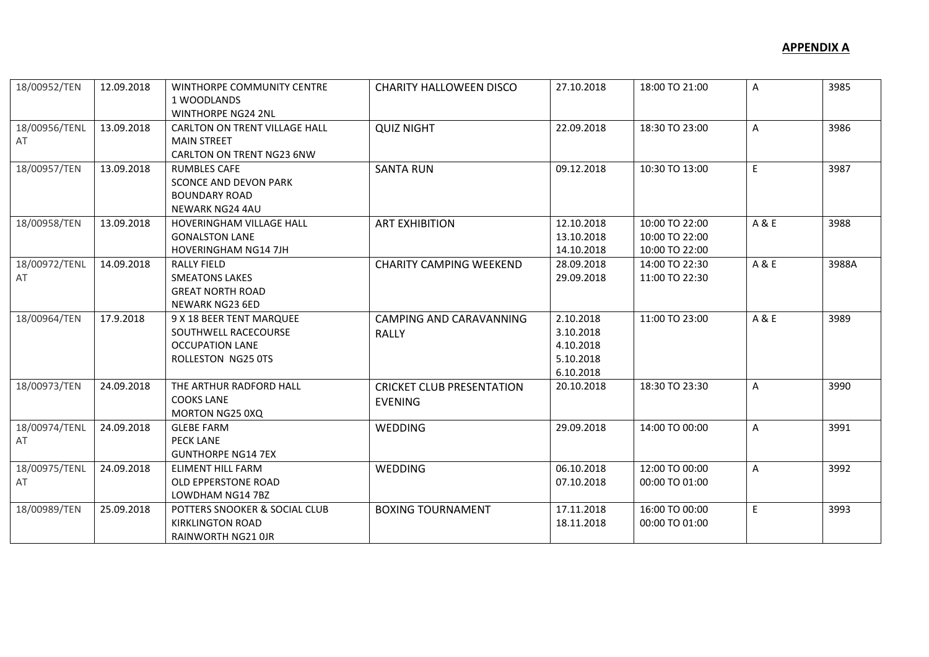| 18/00952/TEN        | 12.09.2018 | WINTHORPE COMMUNITY CENTRE<br>1 WOODLANDS<br><b>WINTHORPE NG24 2NL</b>                                | <b>CHARITY HALLOWEEN DISCO</b>                     | 27.10.2018                                                    | 18:00 TO 21:00                                     | A            | 3985  |
|---------------------|------------|-------------------------------------------------------------------------------------------------------|----------------------------------------------------|---------------------------------------------------------------|----------------------------------------------------|--------------|-------|
| 18/00956/TENL<br>AT | 13.09.2018 | CARLTON ON TRENT VILLAGE HALL<br><b>MAIN STREET</b><br><b>CARLTON ON TRENT NG23 6NW</b>               | <b>QUIZ NIGHT</b>                                  | 22.09.2018                                                    | 18:30 TO 23:00                                     | A            | 3986  |
| 18/00957/TEN        | 13.09.2018 | <b>RUMBLES CAFE</b><br><b>SCONCE AND DEVON PARK</b><br><b>BOUNDARY ROAD</b><br><b>NEWARK NG24 4AU</b> | <b>SANTA RUN</b>                                   | 09.12.2018                                                    | 10:30 TO 13:00                                     | E            | 3987  |
| 18/00958/TEN        | 13.09.2018 | <b>HOVERINGHAM VILLAGE HALL</b><br><b>GONALSTON LANE</b><br><b>HOVERINGHAM NG14 7JH</b>               | <b>ART EXHIBITION</b>                              | 12.10.2018<br>13.10.2018<br>14.10.2018                        | 10:00 TO 22:00<br>10:00 TO 22:00<br>10:00 TO 22:00 | A&E          | 3988  |
| 18/00972/TENL<br>AT | 14.09.2018 | <b>RALLY FIELD</b><br><b>SMEATONS LAKES</b><br><b>GREAT NORTH ROAD</b><br><b>NEWARK NG23 6ED</b>      | <b>CHARITY CAMPING WEEKEND</b>                     | 28.09.2018<br>29.09.2018                                      | 14:00 TO 22:30<br>11:00 TO 22:30                   | A & E        | 3988A |
| 18/00964/TEN        | 17.9.2018  | 9 X 18 BEER TENT MARQUEE<br>SOUTHWELL RACECOURSE<br><b>OCCUPATION LANE</b><br>ROLLESTON NG25 0TS      | CAMPING AND CARAVANNING<br><b>RALLY</b>            | 2.10.2018<br>3.10.2018<br>4.10.2018<br>5.10.2018<br>6.10.2018 | 11:00 TO 23:00                                     | A & E        | 3989  |
| 18/00973/TEN        | 24.09.2018 | THE ARTHUR RADFORD HALL<br><b>COOKS LANE</b><br>MORTON NG25 0XQ                                       | <b>CRICKET CLUB PRESENTATION</b><br><b>EVENING</b> | 20.10.2018                                                    | 18:30 TO 23:30                                     | $\mathsf{A}$ | 3990  |
| 18/00974/TENL<br>AT | 24.09.2018 | <b>GLEBE FARM</b><br><b>PECK LANE</b><br><b>GUNTHORPE NG14 7EX</b>                                    | <b>WEDDING</b>                                     | 29.09.2018                                                    | 14:00 TO 00:00                                     | $\mathsf{A}$ | 3991  |
| 18/00975/TENL<br>AT | 24.09.2018 | ELIMENT HILL FARM<br><b>OLD EPPERSTONE ROAD</b><br>LOWDHAM NG14 7BZ                                   | WEDDING                                            | 06.10.2018<br>07.10.2018                                      | 12:00 TO 00:00<br>00:00 TO 01:00                   | A            | 3992  |
| 18/00989/TEN        | 25.09.2018 | POTTERS SNOOKER & SOCIAL CLUB<br><b>KIRKLINGTON ROAD</b><br><b>RAINWORTH NG21 OJR</b>                 | <b>BOXING TOURNAMENT</b>                           | 17.11.2018<br>18.11.2018                                      | 16:00 TO 00:00<br>00:00 TO 01:00                   | E            | 3993  |